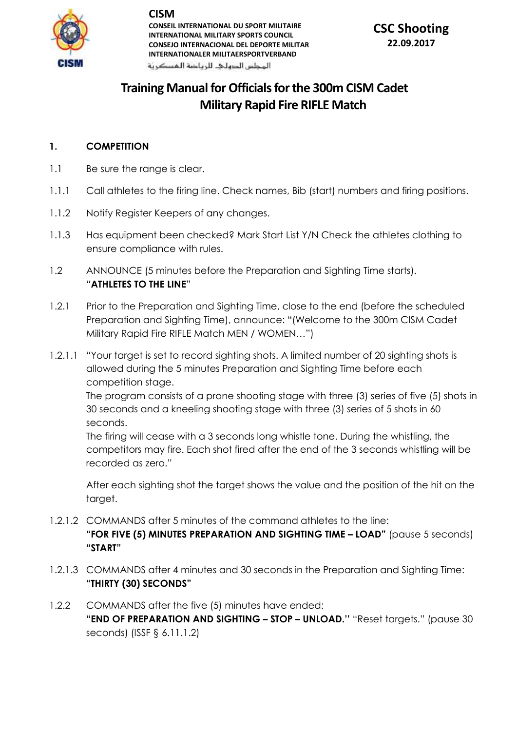

**CISM**

**CONSEIL INTERNATIONAL DU SPORT MILITAIRE INTERNATIONAL MILITARY SPORTS COUNCIL CONSEJO INTERNACIONAL DEL DEPORTE MILITAR INTERNATIONALER MILITAERSPORTVERBAND**

المحلس الدهلى للرياضة المسكرنة

# **Training Manual for Officials for the 300m CISM Cadet Military Rapid Fire RIFLE Match**

#### **1. COMPETITION**

- 1.1 Be sure the range is clear.
- 1.1.1 Call athletes to the firing line. Check names, Bib (start) numbers and firing positions.
- 1.1.2 Notify Register Keepers of any changes.
- 1.1.3 Has equipment been checked? Mark Start List Y/N Check the athletes clothing to ensure compliance with rules.
- 1.2 ANNOUNCE (5 minutes before the Preparation and Sighting Time starts). "**ATHLETES TO THE LINE**"
- 1.2.1 Prior to the Preparation and Sighting Time, close to the end (before the scheduled Preparation and Sighting Time), announce: "(Welcome to the 300m CISM Cadet Military Rapid Fire RIFLE Match MEN / WOMEN…")
- 1.2.1.1 "Your target is set to record sighting shots. A limited number of 20 sighting shots is allowed during the 5 minutes Preparation and Sighting Time before each competition stage.

The program consists of a prone shooting stage with three (3) series of five (5) shots in 30 seconds and a kneeling shooting stage with three (3) series of 5 shots in 60 seconds.

The firing will cease with a 3 seconds long whistle tone. During the whistling, the competitors may fire. Each shot fired after the end of the 3 seconds whistling will be recorded as zero."

After each sighting shot the target shows the value and the position of the hit on the target.

- 1.2.1.2 COMMANDS after 5 minutes of the command athletes to the line: **"FOR FIVE (5) MINUTES PREPARATION AND SIGHTING TIME – LOAD"** (pause 5 seconds) **"START"**
- 1.2.1.3 COMMANDS after 4 minutes and 30 seconds in the Preparation and Sighting Time: **"THIRTY (30) SECONDS"**
- 1.2.2 COMMANDS after the five (5) minutes have ended: **"END OF PREPARATION AND SIGHTING – STOP – UNLOAD.''** "Reset targets." (pause 30 seconds) (ISSF § 6.11.1.2)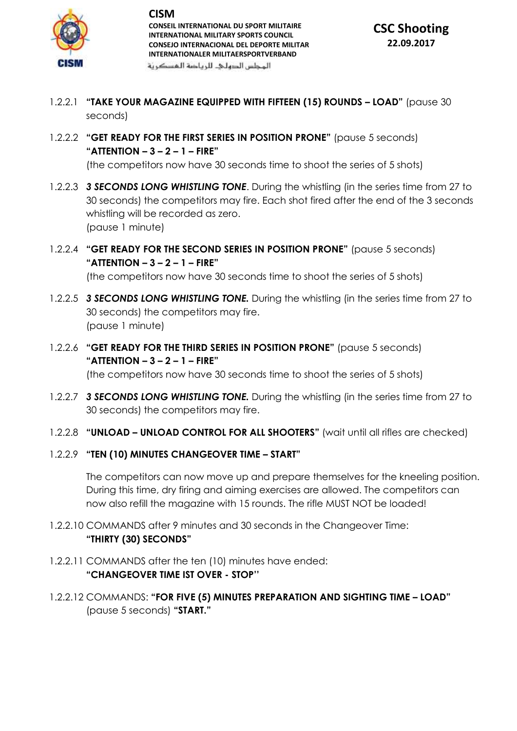

**CISM CONSEIL INTERNATIONAL DU SPORT MILITAIRE INTERNATIONAL MILITARY SPORTS COUNCIL CONSEJO INTERNACIONAL DEL DEPORTE MILITAR INTERNATIONALER MILITAERSPORTVERBAND** المحلس الدهلى للرياضة المسكرنة

- 1.2.2.1 **"TAKE YOUR MAGAZINE EQUIPPED WITH FIFTEEN (15) ROUNDS – LOAD"** (pause 30 seconds)
- 1.2.2.2 **"GET READY FOR THE FIRST SERIES IN POSITION PRONE"** (pause 5 seconds) **"ATTENTION – 3 – 2 – 1 – FIRE"**

(the competitors now have 30 seconds time to shoot the series of 5 shots)

- 1.2.2.3 *3 SECONDS LONG WHISTLING TONE*. During the whistling (in the series time from 27 to 30 seconds) the competitors may fire. Each shot fired after the end of the 3 seconds whistling will be recorded as zero. (pause 1 minute)
- 1.2.2.4 **"GET READY FOR THE SECOND SERIES IN POSITION PRONE"** (pause 5 seconds) **"ATTENTION – 3 – 2 – 1 – FIRE"** (the competitors now have 30 seconds time to shoot the series of 5 shots)
- 1.2.2.5 *3 SECONDS LONG WHISTLING TONE.* During the whistling (in the series time from 27 to 30 seconds) the competitors may fire. (pause 1 minute)
- 1.2.2.6 **"GET READY FOR THE THIRD SERIES IN POSITION PRONE"** (pause 5 seconds) **"ATTENTION – 3 – 2 – 1 – FIRE"**

(the competitors now have 30 seconds time to shoot the series of 5 shots)

- 1.2.2.7 *3 SECONDS LONG WHISTLING TONE.* During the whistling (in the series time from 27 to 30 seconds) the competitors may fire.
- 1.2.2.8 **"UNLOAD – UNLOAD CONTROL FOR ALL SHOOTERS"** (wait until all rifles are checked)
- 1.2.2.9 **"TEN (10) MINUTES CHANGEOVER TIME – START"**

The competitors can now move up and prepare themselves for the kneeling position. During this time, dry firing and aiming exercises are allowed. The competitors can now also refill the magazine with 15 rounds. The rifle MUST NOT be loaded!

- 1.2.2.10 COMMANDS after 9 minutes and 30 seconds in the Changeover Time: **"THIRTY (30) SECONDS"**
- 1.2.2.11 COMMANDS after the ten (10) minutes have ended: **"CHANGEOVER TIME IST OVER - STOP''**
- 1.2.2.12 COMMANDS: **"FOR FIVE (5) MINUTES PREPARATION AND SIGHTING TIME – LOAD"** (pause 5 seconds) **"START."**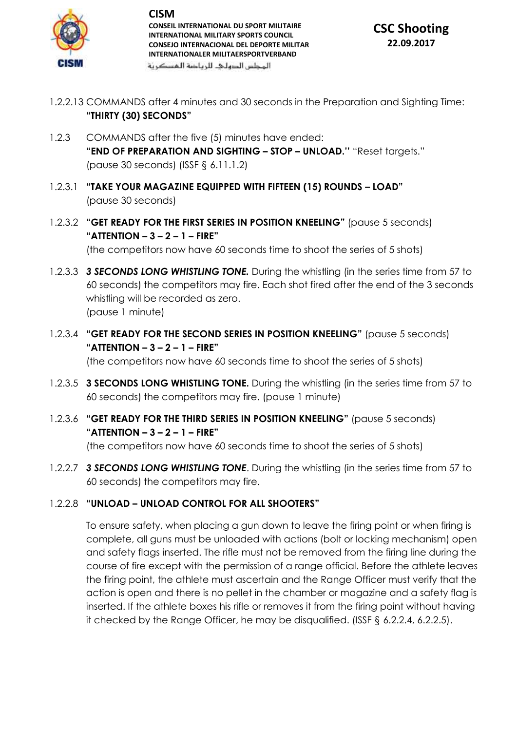

**CISM CONSEIL INTERNATIONAL DU SPORT MILITAIRE INTERNATIONAL MILITARY SPORTS COUNCIL CONSEJO INTERNACIONAL DEL DEPORTE MILITAR INTERNATIONALER MILITAERSPORTVERBAND**

المحلس الدهلى للرياضة المسكرنة

- 1.2.2.13 COMMANDS after 4 minutes and 30 seconds in the Preparation and Sighting Time: **"THIRTY (30) SECONDS"**
- 1.2.3 COMMANDS after the five (5) minutes have ended: **"END OF PREPARATION AND SIGHTING – STOP – UNLOAD.''** "Reset targets." (pause 30 seconds) (ISSF § 6.11.1.2)
- 1.2.3.1 **"TAKE YOUR MAGAZINE EQUIPPED WITH FIFTEEN (15) ROUNDS – LOAD"** (pause 30 seconds)
- 1.2.3.2 **"GET READY FOR THE FIRST SERIES IN POSITION KNEELING"** (pause 5 seconds) **"ATTENTION – 3 – 2 – 1 – FIRE"** (the competitors now have 60 seconds time to shoot the series of 5 shots)
- 1.2.3.3 *3 SECONDS LONG WHISTLING TONE.* During the whistling (in the series time from 57 to 60 seconds) the competitors may fire. Each shot fired after the end of the 3 seconds whistling will be recorded as zero. (pause 1 minute)
- 1.2.3.4 **"GET READY FOR THE SECOND SERIES IN POSITION KNEELING"** (pause 5 seconds) **"ATTENTION – 3 – 2 – 1 – FIRE"** (the competitors now have 60 seconds time to shoot the series of 5 shots)
- 1.2.3.5 **3 SECONDS LONG WHISTLING TONE.** During the whistling (in the series time from 57 to 60 seconds) the competitors may fire. (pause 1 minute)
- 1.2.3.6 **"GET READY FOR THE THIRD SERIES IN POSITION KNEELING"** (pause 5 seconds) **"ATTENTION – 3 – 2 – 1 – FIRE"** (the competitors now have 60 seconds time to shoot the series of 5 shots)
- 1.2.2.7 *3 SECONDS LONG WHISTLING TONE*. During the whistling (in the series time from 57 to 60 seconds) the competitors may fire.

### 1.2.2.8 **"UNLOAD – UNLOAD CONTROL FOR ALL SHOOTERS"**

To ensure safety, when placing a gun down to leave the firing point or when firing is complete, all guns must be unloaded with actions (bolt or locking mechanism) open and safety flags inserted. The rifle must not be removed from the firing line during the course of fire except with the permission of a range official. Before the athlete leaves the firing point, the athlete must ascertain and the Range Officer must verify that the action is open and there is no pellet in the chamber or magazine and a safety flag is inserted. If the athlete boxes his rifle or removes it from the firing point without having it checked by the Range Officer, he may be disqualified. (ISSF § 6.2.2.4, 6.2.2.5).